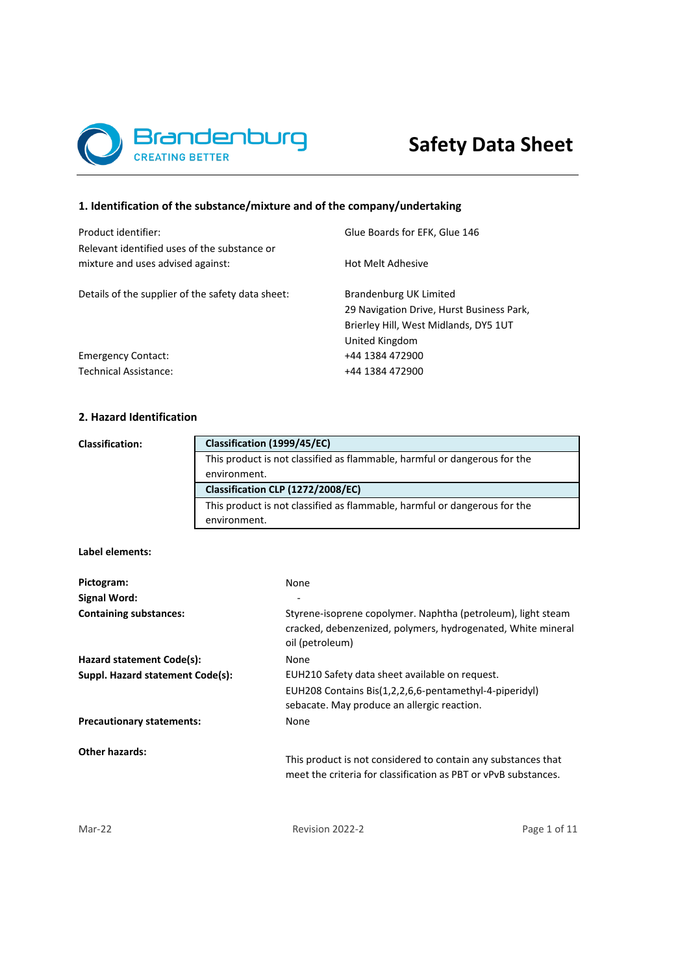

# **1. Identification of the substance/mixture and of the company/undertaking**

| Product identifier:                                                               | Glue Boards for EFK, Glue 146             |
|-----------------------------------------------------------------------------------|-------------------------------------------|
| Relevant identified uses of the substance or<br>mixture and uses advised against: | Hot Melt Adhesive                         |
| Details of the supplier of the safety data sheet:                                 | Brandenburg UK Limited                    |
|                                                                                   | 29 Navigation Drive, Hurst Business Park, |
|                                                                                   | Brierley Hill, West Midlands, DY5 1UT     |
|                                                                                   | United Kingdom                            |
| <b>Emergency Contact:</b>                                                         | +44 1384 472900                           |
| Technical Assistance:                                                             | +44 1384 472900                           |
|                                                                                   |                                           |

# **2. Hazard Identification**

**Classification:**

This product is not classified as flammable, harmful or dangerous for the environment. This product is not classified as flammable, harmful or dangerous for the environment. **Classification (1999/45/EC) Classification CLP (1272/2008/EC)**

# **Label elements:**

| None                                                                                                                                            |
|-------------------------------------------------------------------------------------------------------------------------------------------------|
|                                                                                                                                                 |
| Styrene-isoprene copolymer. Naphtha (petroleum), light steam<br>cracked, debenzenized, polymers, hydrogenated, White mineral<br>oil (petroleum) |
| None                                                                                                                                            |
| EUH210 Safety data sheet available on request.                                                                                                  |
| EUH208 Contains Bis(1,2,2,6,6-pentamethyl-4-piperidyl)<br>sebacate. May produce an allergic reaction.                                           |
| None                                                                                                                                            |
| This product is not considered to contain any substances that<br>meet the criteria for classification as PBT or vPvB substances.                |
|                                                                                                                                                 |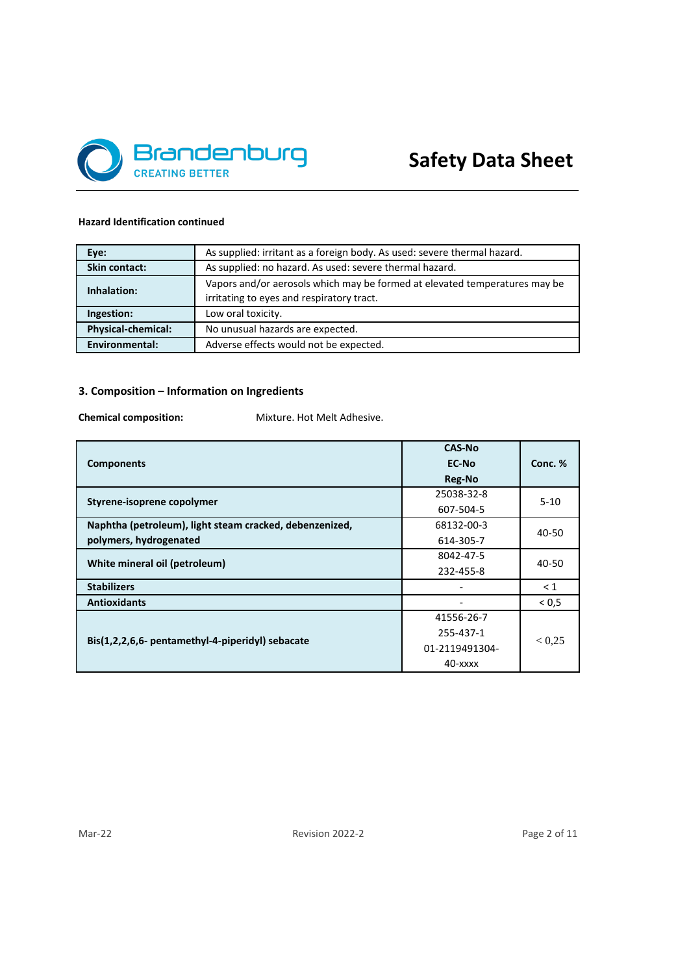

# **Hazard Identification continued**

| Eye:               | As supplied: irritant as a foreign body. As used: severe thermal hazard.                                                |
|--------------------|-------------------------------------------------------------------------------------------------------------------------|
| Skin contact:      | As supplied: no hazard. As used: severe thermal hazard.                                                                 |
| Inhalation:        | Vapors and/or aerosols which may be formed at elevated temperatures may be<br>irritating to eyes and respiratory tract. |
| Ingestion:         | Low oral toxicity.                                                                                                      |
| Physical-chemical: | No unusual hazards are expected.                                                                                        |
| Environmental:     | Adverse effects would not be expected.                                                                                  |

# **3. Composition – Information on Ingredients**

**Chemical composition:** Mixture. Hot Melt Adhesive.

|                                                         | <b>CAS-No</b>  |          |  |
|---------------------------------------------------------|----------------|----------|--|
| <b>Components</b>                                       | EC-No          | Conc. %  |  |
|                                                         | Reg-No         |          |  |
| Styrene-isoprene copolymer                              | 25038-32-8     | $5 - 10$ |  |
|                                                         | 607-504-5      |          |  |
| Naphtha (petroleum), light steam cracked, debenzenized, | 68132-00-3     | 40-50    |  |
| polymers, hydrogenated                                  | 614-305-7      |          |  |
| White mineral oil (petroleum)                           | 8042-47-5      | 40-50    |  |
|                                                         | 232-455-8      |          |  |
| <b>Stabilizers</b>                                      |                | $\leq 1$ |  |
| <b>Antioxidants</b>                                     |                | < 0.5    |  |
|                                                         | 41556-26-7     |          |  |
|                                                         | 255-437-1      | < 0.25   |  |
| Bis(1,2,2,6,6- pentamethyl-4-piperidyl) sebacate        | 01-2119491304- |          |  |
|                                                         | $40  xxx$      |          |  |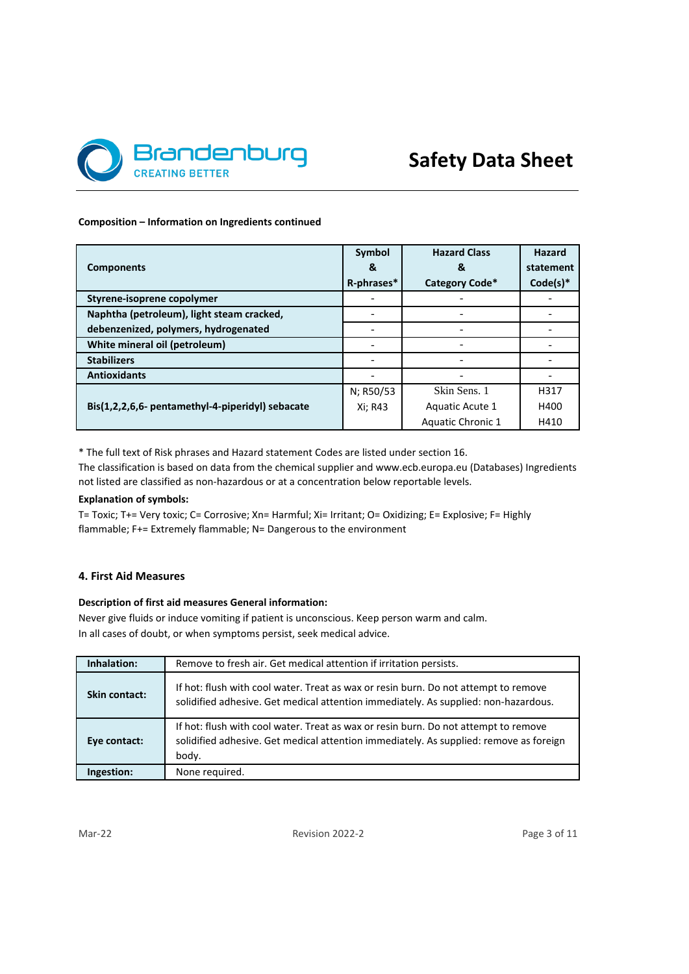

#### **Composition – Information on Ingredients continued**

|                                                  | Symbol     | <b>Hazard Class</b> | <b>Hazard</b> |
|--------------------------------------------------|------------|---------------------|---------------|
| <b>Components</b>                                | &          | &                   | statement     |
|                                                  | R-phrases* | Category Code*      | $Code(s)*$    |
| Styrene-isoprene copolymer                       |            |                     |               |
| Naphtha (petroleum), light steam cracked,        |            |                     |               |
| debenzenized, polymers, hydrogenated             |            |                     |               |
| White mineral oil (petroleum)                    |            |                     |               |
| <b>Stabilizers</b>                               |            |                     |               |
| <b>Antioxidants</b>                              |            |                     |               |
|                                                  | N; R50/53  | Skin Sens. 1        | H317          |
| Bis(1,2,2,6,6- pentamethyl-4-piperidyl) sebacate | Xi; R43    | Aquatic Acute 1     | H400          |
|                                                  |            | Aquatic Chronic 1   | H410          |

\* The full text of Risk phrases and Hazard statement Codes are listed under section 16.

The classification is based on data from the chemical supplier and www.ecb.europa.eu (Databases) Ingredients not listed are classified as non-hazardous or at a concentration below reportable levels.

# **Explanation of symbols:**

T= Toxic; T+= Very toxic; C= Corrosive; Xn= Harmful; Xi= Irritant; O= Oxidizing; E= Explosive; F= Highly flammable; F+= Extremely flammable; N= Dangerous to the environment

# **4. First Aid Measures**

# **Description of first aid measures General information:**

Never give fluids or induce vomiting if patient is unconscious. Keep person warm and calm. In all cases of doubt, or when symptoms persist, seek medical advice.

| Inhalation:   | Remove to fresh air. Get medical attention if irritation persists.                                                                                                                     |
|---------------|----------------------------------------------------------------------------------------------------------------------------------------------------------------------------------------|
| Skin contact: | If hot: flush with cool water. Treat as wax or resin burn. Do not attempt to remove<br>solidified adhesive. Get medical attention immediately. As supplied: non-hazardous.             |
| Eye contact:  | If hot: flush with cool water. Treat as wax or resin burn. Do not attempt to remove<br>solidified adhesive. Get medical attention immediately. As supplied: remove as foreign<br>body. |
| Ingestion:    | None required.                                                                                                                                                                         |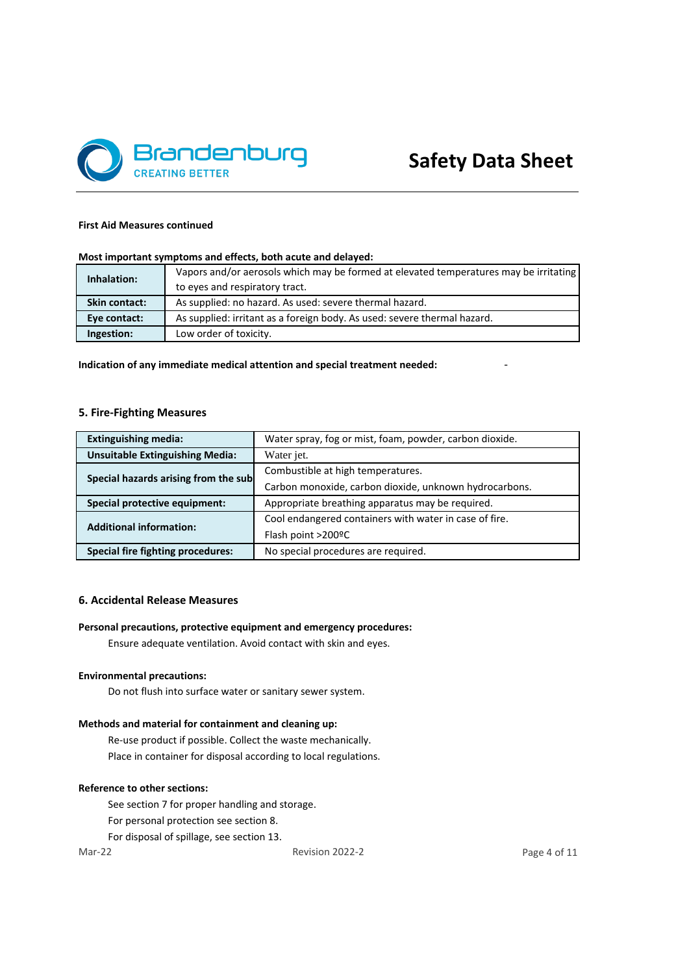

#### **First Aid Measures continued**

# **Most important symptoms and effects, both acute and delayed:**

| Inhalation:          | Vapors and/or aerosols which may be formed at elevated temperatures may be irritating |
|----------------------|---------------------------------------------------------------------------------------|
|                      | to eyes and respiratory tract.                                                        |
| <b>Skin contact:</b> | As supplied: no hazard. As used: severe thermal hazard.                               |
| Eye contact:         | As supplied: irritant as a foreign body. As used: severe thermal hazard.              |
| Ingestion:           | Low order of toxicity.                                                                |

**Indication of any immediate medical attention and special treatment needed:** -

# **5. Fire-Fighting Measures**

| <b>Extinguishing media:</b>              | Water spray, fog or mist, foam, powder, carbon dioxide. |
|------------------------------------------|---------------------------------------------------------|
| <b>Unsuitable Extinguishing Media:</b>   | Water jet.                                              |
| Special hazards arising from the sub     | Combustible at high temperatures.                       |
|                                          | Carbon monoxide, carbon dioxide, unknown hydrocarbons.  |
| Special protective equipment:            | Appropriate breathing apparatus may be required.        |
| <b>Additional information:</b>           | Cool endangered containers with water in case of fire.  |
|                                          | Flash point >200ºC                                      |
| <b>Special fire fighting procedures:</b> | No special procedures are required.                     |

#### **6. Accidental Release Measures**

# **Personal precautions, protective equipment and emergency procedures:**

Ensure adequate ventilation. Avoid contact with skin and eyes.

# **Environmental precautions:**

Do not flush into surface water or sanitary sewer system.

#### **Methods and material for containment and cleaning up:**

Re-use product if possible. Collect the waste mechanically. Place in container for disposal according to local regulations.

#### **Reference to other sections:**

See section 7 for proper handling and storage.

- For personal protection see section 8.
- For disposal of spillage, see section 13.

Mar-22 Revision 2022-2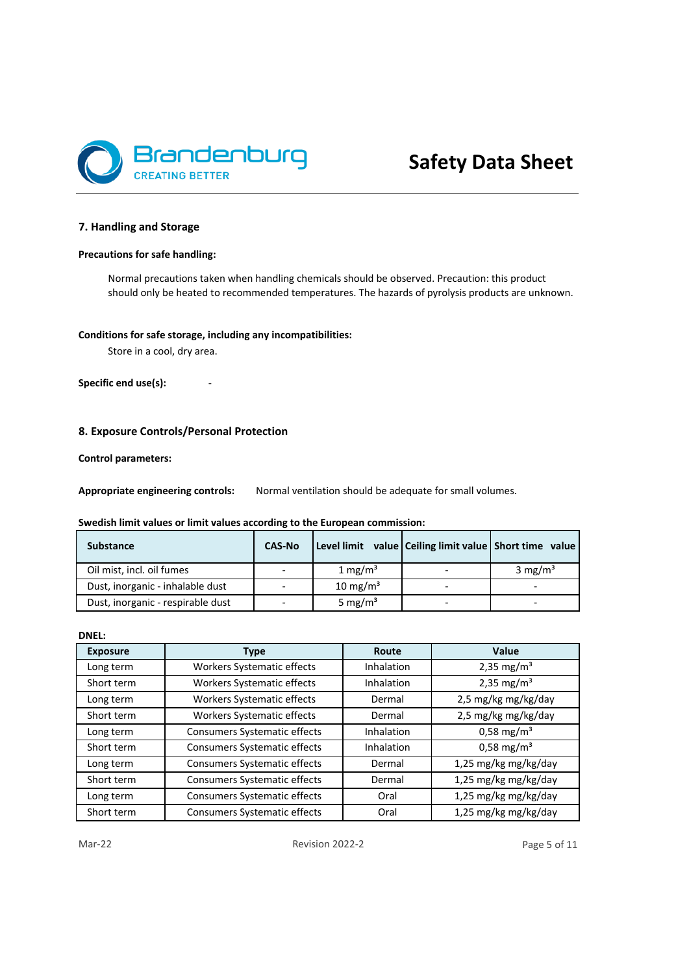

# **7. Handling and Storage**

# **Precautions for safe handling:**

Normal precautions taken when handling chemicals should be observed. Precaution: this product should only be heated to recommended temperatures. The hazards of pyrolysis products are unknown.

# **Conditions for safe storage, including any incompatibilities:**

Store in a cool, dry area.

Specific end use(s):

### **8. Exposure Controls/Personal Protection**

#### **Control parameters:**

**Appropriate engineering controls:** Normal ventilation should be adequate for small volumes.

# **Swedish limit values or limit values according to the European commission:**

| <b>Substance</b>                  | <b>CAS-No</b> |                     | Level limit value   Ceiling limit value   Short time value |                          |
|-----------------------------------|---------------|---------------------|------------------------------------------------------------|--------------------------|
| Oil mist, incl. oil fumes         |               | 1 mg/m <sup>3</sup> |                                                            | 3 mg/m <sup>3</sup>      |
| Dust, inorganic - inhalable dust  |               | $10 \text{ mg/m}^3$ |                                                            | $\overline{\phantom{0}}$ |
| Dust, inorganic - respirable dust |               | 5 mg/m <sup>3</sup> |                                                            |                          |

#### **DNEL:**

| <b>Exposure</b> | <b>Type</b>                         | Route      | Value                  |
|-----------------|-------------------------------------|------------|------------------------|
| Long term       | Workers Systematic effects          | Inhalation | 2,35 mg/m <sup>3</sup> |
| Short term      | Workers Systematic effects          | Inhalation | 2,35 mg/m <sup>3</sup> |
| Long term       | <b>Workers Systematic effects</b>   | Dermal     | 2,5 mg/kg mg/kg/day    |
| Short term      | Workers Systematic effects          | Dermal     | 2,5 mg/kg mg/kg/day    |
| Long term       | Consumers Systematic effects        | Inhalation | $0,58 \text{ mg/m}^3$  |
| Short term      | Consumers Systematic effects        | Inhalation | $0,58 \text{ mg/m}^3$  |
| Long term       | <b>Consumers Systematic effects</b> | Dermal     | 1,25 mg/kg mg/kg/day   |
| Short term      | <b>Consumers Systematic effects</b> | Dermal     | 1,25 mg/kg mg/kg/day   |
| Long term       | Consumers Systematic effects        | Oral       | 1,25 mg/kg mg/kg/day   |
| Short term      | <b>Consumers Systematic effects</b> | Oral       | 1,25 mg/kg mg/kg/day   |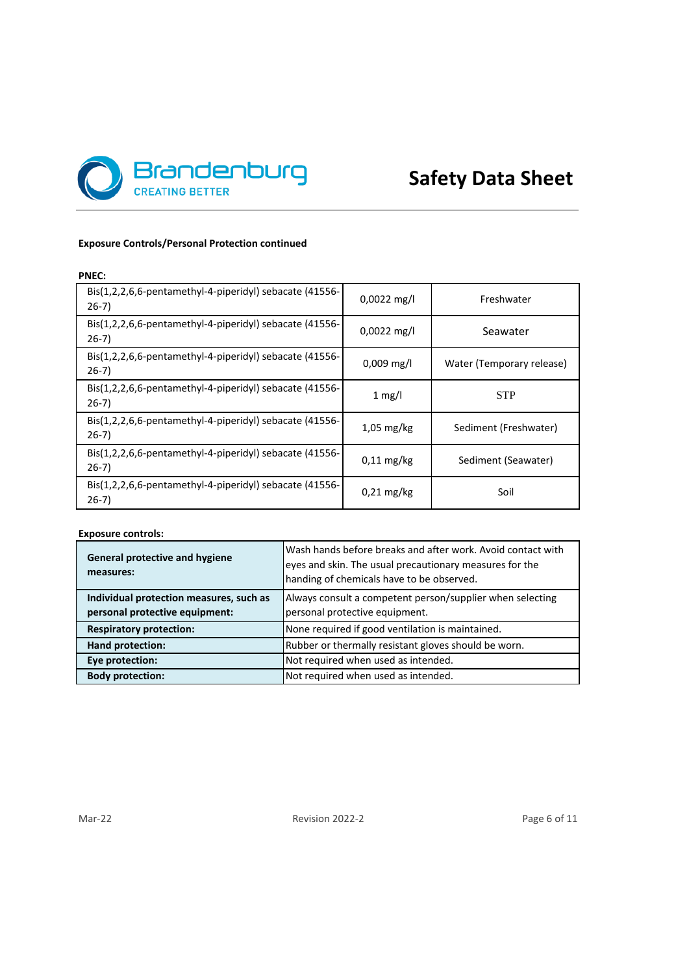

# **Safety Data Sheet**

# **Exposure Controls/Personal Protection continued**

# **PNEC:**

| Bis(1,2,2,6,6-pentamethyl-4-piperidyl) sebacate (41556-<br>$26-7)$ | $0.0022$ mg/l        | Freshwater                |
|--------------------------------------------------------------------|----------------------|---------------------------|
| Bis(1,2,2,6,6-pentamethyl-4-piperidyl) sebacate (41556-<br>$26-7)$ | $0.0022$ mg/l        | Seawater                  |
| Bis(1,2,2,6,6-pentamethyl-4-piperidyl) sebacate (41556-<br>$26-7)$ | $0.009$ mg/l         | Water (Temporary release) |
| Bis(1,2,2,6,6-pentamethyl-4-piperidyl) sebacate (41556-<br>$26-7)$ | 1 mg/l               | <b>STP</b>                |
| Bis(1,2,2,6,6-pentamethyl-4-piperidyl) sebacate (41556-<br>$26-7)$ | $1,05 \text{ mg/kg}$ | Sediment (Freshwater)     |
| Bis(1,2,2,6,6-pentamethyl-4-piperidyl) sebacate (41556-<br>$26-7)$ | $0,11 \text{ mg/kg}$ | Sediment (Seawater)       |
| Bis(1,2,2,6,6-pentamethyl-4-piperidyl) sebacate (41556-<br>$26-7)$ | $0.21$ mg/kg         | Soil                      |

# **Exposure controls:**

| <b>General protective and hygiene</b><br>measures:                        | Wash hands before breaks and after work. Avoid contact with<br>eyes and skin. The usual precautionary measures for the<br>handing of chemicals have to be observed. |
|---------------------------------------------------------------------------|---------------------------------------------------------------------------------------------------------------------------------------------------------------------|
| Individual protection measures, such as<br>personal protective equipment: | Always consult a competent person/supplier when selecting<br>personal protective equipment.                                                                         |
| <b>Respiratory protection:</b>                                            | None required if good ventilation is maintained.                                                                                                                    |
| <b>Hand protection:</b>                                                   | Rubber or thermally resistant gloves should be worn.                                                                                                                |
| Eye protection:                                                           | Not required when used as intended.                                                                                                                                 |
| <b>Body protection:</b>                                                   | Not required when used as intended.                                                                                                                                 |

Mar-22 Revision 2022-2 Revision 2022-2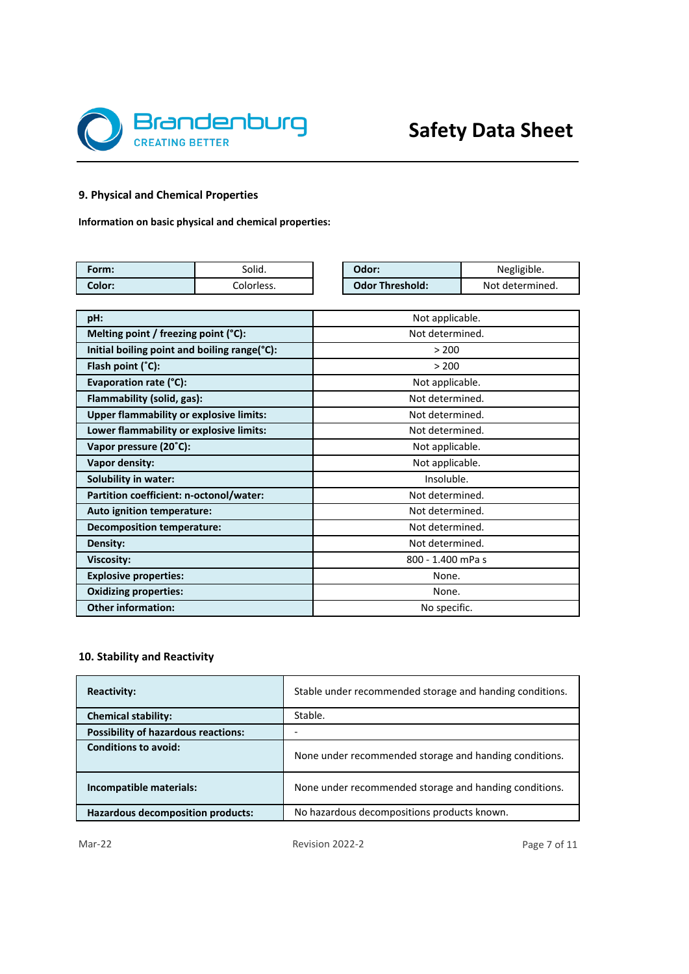

# **9. Physical and Chemical Properties**

**Information on basic physical and chemical properties:**

| Form:  | Solid.     | Odor:                  | Negligible.     |
|--------|------------|------------------------|-----------------|
| Color: | Colorless. | <b>Odor Threshold:</b> | Not determined. |

| pH:                                            | Not applicable.   |  |  |  |  |
|------------------------------------------------|-------------------|--|--|--|--|
| Melting point / freezing point (°C):           | Not determined.   |  |  |  |  |
| Initial boiling point and boiling range(°C):   | > 200             |  |  |  |  |
| Flash point $(°C)$ :                           | > 200             |  |  |  |  |
| Evaporation rate (°C):                         | Not applicable.   |  |  |  |  |
| Flammability (solid, gas):                     | Not determined.   |  |  |  |  |
| <b>Upper flammability or explosive limits:</b> | Not determined.   |  |  |  |  |
| Lower flammability or explosive limits:        | Not determined.   |  |  |  |  |
| Vapor pressure (20°C):                         | Not applicable.   |  |  |  |  |
| Vapor density:                                 | Not applicable.   |  |  |  |  |
| Solubility in water:                           | Insoluble.        |  |  |  |  |
| Partition coefficient: n-octonol/water:        | Not determined.   |  |  |  |  |
| Auto ignition temperature:                     | Not determined.   |  |  |  |  |
| Decomposition temperature:                     | Not determined.   |  |  |  |  |
| Density:                                       | Not determined.   |  |  |  |  |
| <b>Viscosity:</b>                              | 800 - 1.400 mPa s |  |  |  |  |
| <b>Explosive properties:</b>                   | None.             |  |  |  |  |
| <b>Oxidizing properties:</b>                   | None.             |  |  |  |  |
| <b>Other information:</b>                      | No specific.      |  |  |  |  |

# **10. Stability and Reactivity**

| <b>Reactivity:</b>                         | Stable under recommended storage and handing conditions. |
|--------------------------------------------|----------------------------------------------------------|
| <b>Chemical stability:</b>                 | Stable.                                                  |
| <b>Possibility of hazardous reactions:</b> |                                                          |
| <b>Conditions to avoid:</b>                | None under recommended storage and handing conditions.   |
| Incompatible materials:                    | None under recommended storage and handing conditions.   |
| <b>Hazardous decomposition products:</b>   | No hazardous decompositions products known.              |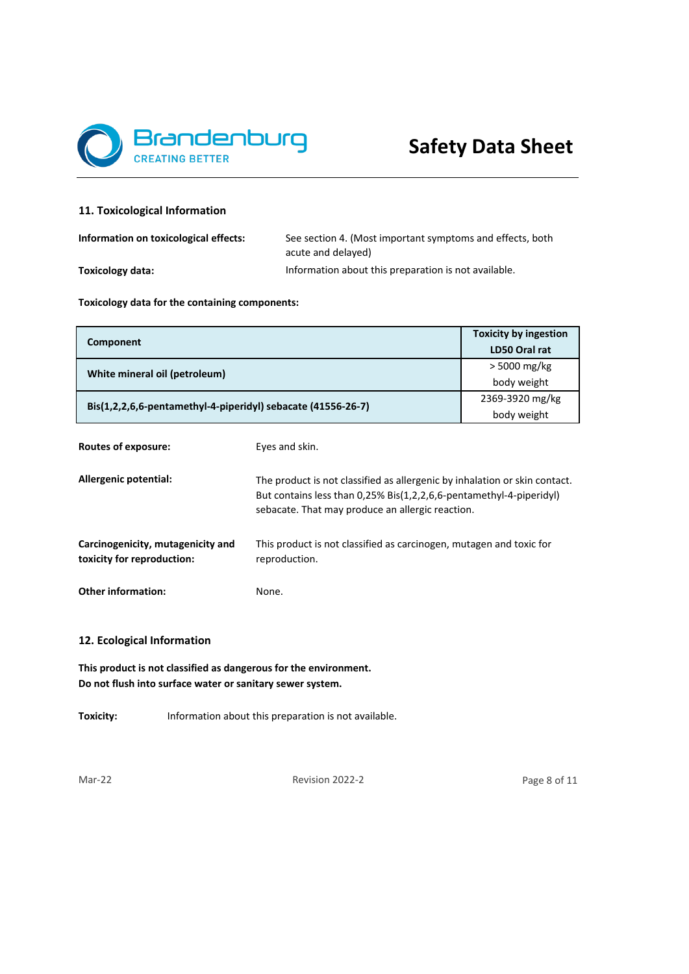

# **11. Toxicological Information**

| Information on toxicological effects: | See section 4. (Most important symptoms and effects, both |  |  |  |
|---------------------------------------|-----------------------------------------------------------|--|--|--|
|                                       | acute and delaved)                                        |  |  |  |
| Toxicology data:                      | Information about this preparation is not available.      |  |  |  |

**Toxicology data for the containing components:**

| Component                                                    | <b>Toxicity by ingestion</b><br>LD50 Oral rat |
|--------------------------------------------------------------|-----------------------------------------------|
| White mineral oil (petroleum)                                | > 5000 mg/kg                                  |
|                                                              | body weight                                   |
| Bis(1,2,2,6,6-pentamethyl-4-piperidyl) sebacate (41556-26-7) | 2369-3920 mg/kg                               |
|                                                              | body weight                                   |

| Routes of exposure:                                             | Eyes and skin.                                                                                                                                                                                        |
|-----------------------------------------------------------------|-------------------------------------------------------------------------------------------------------------------------------------------------------------------------------------------------------|
| Allergenic potential:                                           | The product is not classified as allergenic by inhalation or skin contact.<br>But contains less than 0,25% Bis(1,2,2,6,6-pentamethyl-4-piperidyl)<br>sebacate. That may produce an allergic reaction. |
| Carcinogenicity, mutagenicity and<br>toxicity for reproduction: | This product is not classified as carcinogen, mutagen and toxic for<br>reproduction.                                                                                                                  |
| <b>Other information:</b>                                       | None.                                                                                                                                                                                                 |

# **12. Ecological Information**

**This product is not classified as dangerous for the environment. Do not flush into surface water or sanitary sewer system.**

**Toxicity:** Information about this preparation is not available.

Mar-22 Revision 2022-2

Page 8 of 11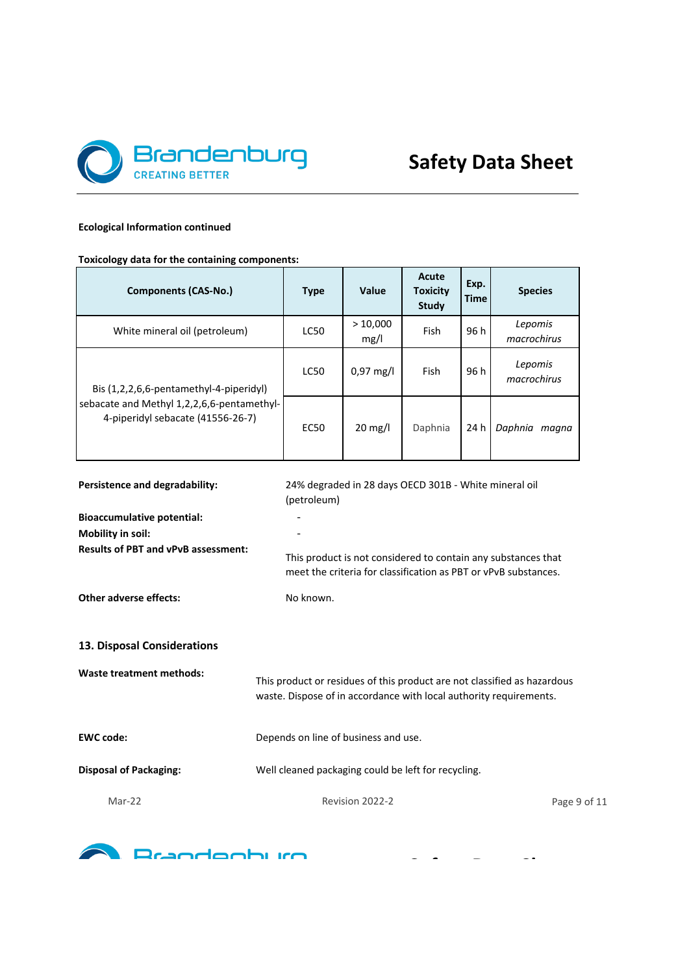

**Safety Data Sheet**

# **Ecological Information continued**

**Toxicology data for the containing components:**

| <b>Components (CAS-No.)</b>                                                     | <b>Type</b>                                                                                                                                    | Value                                                 | Acute<br><b>Toxicity</b><br><b>Study</b> | Exp.<br><b>Time</b> | <b>Species</b>         |
|---------------------------------------------------------------------------------|------------------------------------------------------------------------------------------------------------------------------------------------|-------------------------------------------------------|------------------------------------------|---------------------|------------------------|
| White mineral oil (petroleum)                                                   | <b>LC50</b>                                                                                                                                    | >10,000<br>mg/l                                       | Fish                                     | 96h                 | Lepomis<br>macrochirus |
| Bis (1,2,2,6,6-pentamethyl-4-piperidyl)                                         | LC50                                                                                                                                           | 0,97 mg/l                                             | Fish                                     | 96 h                | Lepomis<br>macrochirus |
| sebacate and Methyl 1,2,2,6,6-pentamethyl-<br>4-piperidyl sebacate (41556-26-7) | <b>EC50</b>                                                                                                                                    | 20 mg/l                                               | Daphnia                                  | 24 h                | Daphnia magna          |
| Persistence and degradability:                                                  | (petroleum)                                                                                                                                    | 24% degraded in 28 days OECD 301B - White mineral oil |                                          |                     |                        |
| <b>Bioaccumulative potential:</b><br>Mobility in soil:                          |                                                                                                                                                |                                                       |                                          |                     |                        |
| <b>Results of PBT and vPvB assessment:</b>                                      | This product is not considered to contain any substances that<br>meet the criteria for classification as PBT or vPvB substances.               |                                                       |                                          |                     |                        |
| <b>Other adverse effects:</b>                                                   | No known.                                                                                                                                      |                                                       |                                          |                     |                        |
| 13. Disposal Considerations                                                     |                                                                                                                                                |                                                       |                                          |                     |                        |
| <b>Waste treatment methods:</b>                                                 | This product or residues of this product are not classified as hazardous<br>waste. Dispose of in accordance with local authority requirements. |                                                       |                                          |                     |                        |
| <b>EWC code:</b>                                                                | Depends on line of business and use.                                                                                                           |                                                       |                                          |                     |                        |
| <b>Disposal of Packaging:</b>                                                   | Well cleaned packaging could be left for recycling.                                                                                            |                                                       |                                          |                     |                        |
| Mar-22                                                                          |                                                                                                                                                | Revision 2022-2                                       |                                          |                     | Page 9 of 11           |

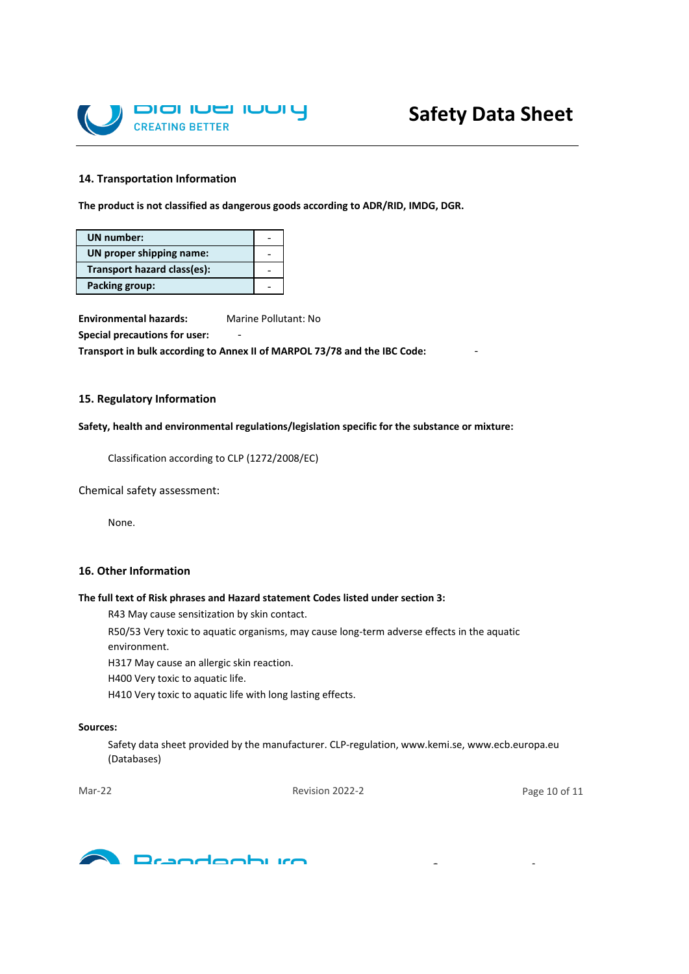

#### **14. Transportation Information**

**The product is not classified as dangerous goods according to ADR/RID, IMDG, DGR.**

| UN number:                  |  |
|-----------------------------|--|
| UN proper shipping name:    |  |
| Transport hazard class(es): |  |
| <b>Packing group:</b>       |  |

**Environmental hazards:** Marine Pollutant: No **Special precautions for user:** 

**Transport in bulk according to Annex II of MARPOL 73/78 and the IBC Code:** -

# **15. Regulatory Information**

**Safety, health and environmental regulations/legislation specific for the substance or mixture:**

Classification according to CLP (1272/2008/EC)

Chemical safety assessment:

None.

# **16. Other Information**

#### **The full text of Risk phrases and Hazard statement Codes listed under section 3:**

R43 May cause sensitization by skin contact.

R50/53 Very toxic to aquatic organisms, may cause long-term adverse effects in the aquatic

environment.

H317 May cause an allergic skin reaction.

H400 Very toxic to aquatic life.

H410 Very toxic to aquatic life with long lasting effects.

#### **Sources:**

Safety data sheet provided by the manufacturer. CLP-regulation, www.kemi.se, www.ecb.europa.eu (Databases)

Mar-22 Revision 2022-2

Page 10 of 11



**Safety Data Sheet**